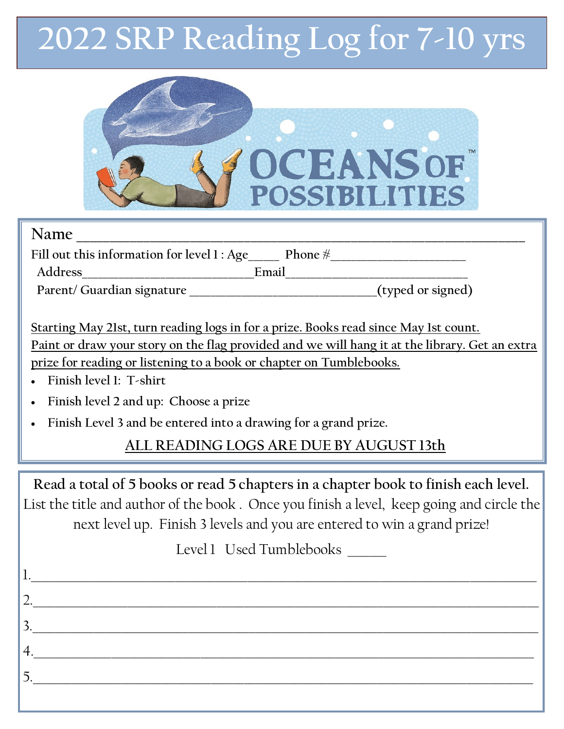## **2022 SRP Reading Log for 7-10 yrs**



| Name                                                                                           |                   |
|------------------------------------------------------------------------------------------------|-------------------|
| Fill out this information for level 1 : Age Phone $\frac{4}{3}$                                |                   |
| Address<br>Email                                                                               |                   |
| Parent/ Guardian signature                                                                     | (typed or signed) |
|                                                                                                |                   |
| Starting May 21st, turn reading logs in for a prize. Books read since May 1st count.           |                   |
| Paint or draw your story on the flag provided and we will hang it at the library. Get an extra |                   |
| prize for reading or listening to a book or chapter on Tumblebooks.                            |                   |
| $\blacksquare$ Finish level 1. Tehirt                                                          |                   |

- **Finish level 1: T-shirt**
- **Finish level 2 and up: Choose a prize**
- **Finish Level 3 and be entered into a drawing for a grand prize.**

## **ALL READING LOGS ARE DUE BY AUGUST 13th**

**Read a total of 5 books or read 5 chapters in a chapter book to finish each level.**  List the title and author of the book . Once you finish a level, keep going and circle the next level up. Finish 3 levels and you are entered to win a grand prize!

Level 1 Used Tumblebooks

 $1. \rule{0.7cm}{0.1cm}$ 

2.\_\_\_\_\_\_\_\_\_\_\_\_\_\_\_\_\_\_\_\_\_\_\_\_\_\_\_\_\_\_\_\_\_\_\_\_\_\_\_\_\_\_\_\_\_\_\_\_\_\_\_\_\_\_\_\_\_\_\_\_\_\_\_\_\_\_\_\_\_\_\_\_\_\_\_\_\_\_\_\_\_\_\_\_\_\_\_\_\_\_\_

3.\_\_\_\_\_\_\_\_\_\_\_\_\_\_\_\_\_\_\_\_\_\_\_\_\_\_\_\_\_\_\_\_\_\_\_\_\_\_\_\_\_\_\_\_\_\_\_\_\_\_\_\_\_\_\_\_\_\_\_\_\_\_\_\_\_\_\_\_\_\_\_\_\_\_\_\_\_\_\_\_\_\_\_\_\_\_\_\_\_\_\_

4.\_\_\_\_\_\_\_\_\_\_\_\_\_\_\_\_\_\_\_\_\_\_\_\_\_\_\_\_\_\_\_\_\_\_\_\_\_\_\_\_\_\_\_\_\_\_\_\_\_\_\_\_\_\_\_\_\_\_\_\_\_\_\_\_\_\_\_\_\_\_\_\_\_\_\_\_\_\_\_\_\_\_\_\_\_\_\_\_\_\_

5.\_\_\_\_\_\_\_\_\_\_\_\_\_\_\_\_\_\_\_\_\_\_\_\_\_\_\_\_\_\_\_\_\_\_\_\_\_\_\_\_\_\_\_\_\_\_\_\_\_\_\_\_\_\_\_\_\_\_\_\_\_\_\_\_\_\_\_\_\_\_\_\_\_\_\_\_\_\_\_\_\_\_\_\_\_\_\_\_\_\_